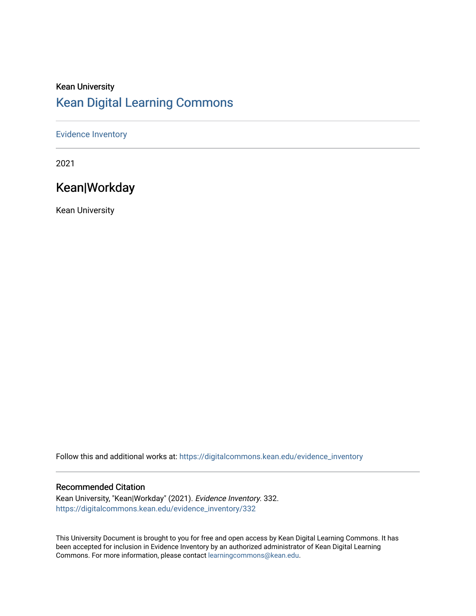# Kean University [Kean Digital Learning Commons](https://digitalcommons.kean.edu/)

#### [Evidence Inventory](https://digitalcommons.kean.edu/evidence_inventory)

2021

# Kean|Workday

Kean University

Follow this and additional works at: [https://digitalcommons.kean.edu/evidence\\_inventory](https://digitalcommons.kean.edu/evidence_inventory?utm_source=digitalcommons.kean.edu%2Fevidence_inventory%2F332&utm_medium=PDF&utm_campaign=PDFCoverPages)

#### Recommended Citation

Kean University, "Kean|Workday" (2021). Evidence Inventory. 332. [https://digitalcommons.kean.edu/evidence\\_inventory/332](https://digitalcommons.kean.edu/evidence_inventory/332?utm_source=digitalcommons.kean.edu%2Fevidence_inventory%2F332&utm_medium=PDF&utm_campaign=PDFCoverPages)

This University Document is brought to you for free and open access by Kean Digital Learning Commons. It has been accepted for inclusion in Evidence Inventory by an authorized administrator of Kean Digital Learning Commons. For more information, please contact [learningcommons@kean.edu.](mailto:learningcommons@kean.edu)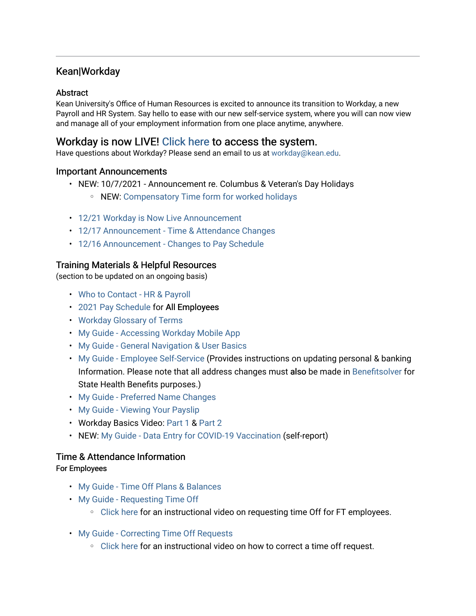#### Kean|Workday

#### Abstract

Kean University's Office of Human Resources is excited to announce its transition to Workday, a new Payroll and HR System. Say hello to ease with our new self-service system, where you will can now view and manage all of your employment information from one place anytime, anywhere.

#### Workday is now LIVE! [Click here](https://www.myworkday.com/kean/login.htmld) to access the system.

Have questions about Workday? Please send an email to us at [workday@kean.edu.](mailto:workday@kean.edu)

#### Important Announcements

- NEW: 10/7/2021 Announcement re. Columbus & Veteran's Day Holidays
	- NEW: [Compensatory Time form for worked holidays](https://www.kean.edu/media/comp-time-form-open-holidays)
- [12/21 Workday is Now Live Announcement](https://www.kean.edu/media/workday-live-announcement)
- [12/17 Announcement Time & Attendance Changes](https://www.kean.edu/media/wd-time-attendance-announcement)
- [12/16 Announcement Changes to Pay Schedule](https://www.kean.edu/media/wd-pay-schedule-change-announcement)

#### Training Materials & Helpful Resources

(section to be updated on an ongoing basis)

- [Who to Contact HR & Payroll](https://www.kean.edu/media/wd-who-contact)
- [2021 Pay Schedule](https://www.kean.edu/media/2021-pp-schedule) for All Employees
- [Workday Glossary of Terms](https://www.kean.edu/media/wd-glossary)
- [My Guide Accessing Workday Mobile App](https://www.kean.edu/media/wd-mobile-app)
- [My Guide General Navigation & User Basics](https://www.kean.edu/media/general-navigation-user-basics-final)
- [My Guide Employee Self-Service](https://www.kean.edu/media/wd-self-service) (Provides instructions on updating personal & banking Information. Please note that all address changes must also be made in [Benefitsolver](https://my.state.nj.us/openam/UI/Login) for State Health Benefits purposes.)
- [My Guide Preferred Name Changes](https://www.kean.edu/media/wd-preferred-name-changes)
- [My Guide Viewing Your Payslip](https://www.kean.edu/media/wd-viewing-your-payslip)
- Workday Basics Video: [Part 1](https://share.vidyard.com/watch/5Bcqp7T39u6EYP9pmJDB6n?) & [Part 2](https://share.vidyard.com/watch/D6WybkiL8brrybk7bP5gJE?)
- NEW: [My Guide Data Entry for COVID-19 Vaccination](https://www.kean.edu/media/wd-data-entry-covid-19-vaccination) (self-report)

#### Time & Attendance Information

#### For Employees

- [My Guide Time Off Plans & Balances](https://www.kean.edu/media/wd-viewing-time-plans-balances)
- [My Guide Requesting Time Off](https://www.kean.edu/media/wd-requesting-time)
	- [Click here](https://share.vidyard.com/watch/q3gZX3NBp4i5irPFFQnTqe?) for an instructional video on requesting time Off for FT employees.
- [My Guide Correcting Time Off Requests](https://www.kean.edu/media/wd-correcting-time-request) 
	- [Click here](https://share.vidyard.com/watch/19HafP8GdtZBf8ftWC2Nv9?) for an instructional video on how to correct a time off request.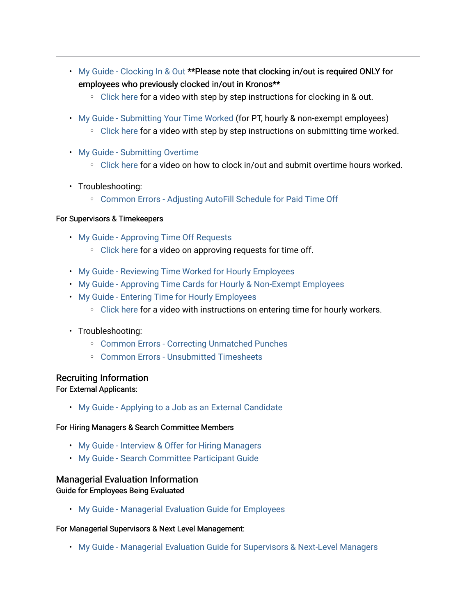- [My Guide Clocking In & Out](https://www.kean.edu/media/wd-clocking-out) \*\*Please note that clocking in/out is required ONLY for employees who previously clocked in/out in Kronos\*\*
	- [Click here](https://share.vidyard.com/watch/gSzv1wzQWWVouh3JCGNsog?autoplay=1&vyetoken=2c8e05c4-0d9b-4543-aa28-11815fa1d5aa) for a video with step by step instructions for clocking in & out.
- [My Guide Submitting Your Time Worked](https://www.kean.edu/media/wd-submitting-your-time) (for PT, hourly & non-exempt employees)
	- [Click here](https://share.vidyard.com/watch/ftLdtXoBkqBJVFZrx3anPz?autoplay=1&vyetoken=2c8e05c4-0d9b-4543-aa28-11815fa1d5aa) for a video with step by step instructions on submitting time worked.
- [My Guide Submitting Overtime](https://www.kean.edu/media/wd-submitting-overtime)
	- [Click here](https://share.vidyard.com/watch/4h1YeGcunKSqtzGJrskEBq?autoplay=1&vyetoken=2c8e05c4-0d9b-4543-aa28-11815fa1d5aa) for a video on how to clock in/out and submit overtime hours worked.
- Troubleshooting:
	- [Common Errors Adjusting AutoFill Schedule for Paid Time Off](https://www.kean.edu/media/common-errors-schedule-adjustments-pto)

#### For Supervisors & Timekeepers

- [My Guide Approving Time Off Requests](https://www.kean.edu/media/wd-approving-time)
	- [Click here](https://share.vidyard.com/watch/w3FGCBSZx5Ab87WH2k1Cm2?) for a video on approving requests for time off.
- [My Guide Reviewing Time Worked for Hourly Employees](https://www.kean.edu/media/reviewing-time-worked-hourly-employees)
- [My Guide Approving Time Cards for Hourly & Non-Exempt Employees](https://www.kean.edu/media/wd-approving-time-cards)
- [My Guide Entering Time for Hourly Employees](https://www.kean.edu/media/wd-entering-time-hourly) 
	- [Click here](https://share.vidyard.com/watch/FW8HNUtmytjkJYhQziWCc9?) for a video with instructions on entering time for hourly workers.
- Troubleshooting:
	- [Common Errors Correcting Unmatched Punches](https://www.kean.edu/media/common-errors-unmatched-punches)
	- [Common Errors Unsubmitted Timesheets](https://www.kean.edu/media/common-errors-unsubmitted-timesheets)

#### Recruiting Information

For External Applicants:

• [My Guide - Applying to a Job as an External Candidate](https://www.kean.edu/media/wd-applying-job-external-candidate) 

#### For Hiring Managers & Search Committee Members

- [My Guide Interview & Offer for Hiring Managers](https://www.kean.edu/media/wd-hiring-managers-interview-and-offer)
- [My Guide Search Committee Participant Guide](https://www.kean.edu/media/wd-search-committe-participant-guide)

#### Managerial Evaluation Information

Guide for Employees Being Evaluated

• [My Guide - Managerial Evaluation Guide for Employees](https://www.kean.edu/media/2020-2021-managerial-evaluation-guide-employees) 

#### For Managerial Supervisors & Next Level Management:

• [My Guide - Managerial Evaluation Guide for Supervisors & Next-Level Managers](https://www.kean.edu/media/2020-2021-managerial-evaluation-guide-supervisors-next-level-managers)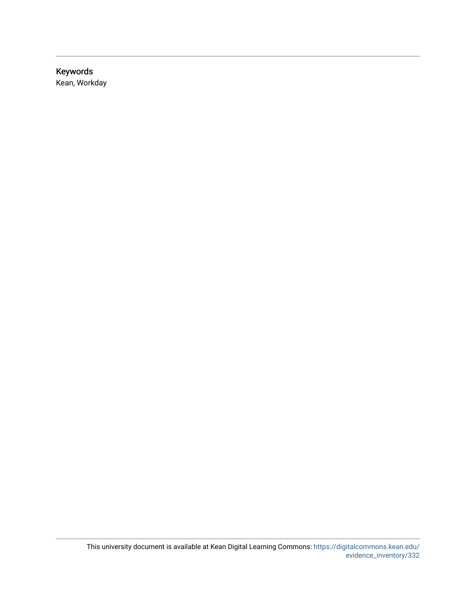# Keywords

Kean, Workday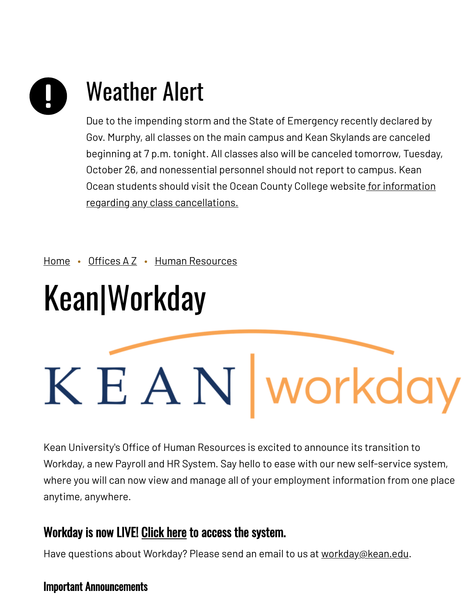# Weather Alert

Due to the impending storm and the State of Emergency recently declared by Gov. Murphy, all classes on the main campus and Kean Skylands are canceled beginning at 7 p.m. tonight. All classes also will be canceled tomorrow, Tuesday, October 26, and nonessential personnel should not report to campus. Kean Ocean students should visit the Ocean County College website for information regarding any class [cancellations.](https://www.ocean.edu/)

[Home](https://www.kean.edu/) • [Offices](https://www.kean.edu/offices) AZ • Human [Resources](https://www.kean.edu/offices/human-resources)

# Kean|Workday

# K E A N | workday

Kean University's Office of Human Resources is excited to announce its transition to Workday, a new Payroll and HR System. Say hello to ease with our new self-service system, where you will can now view and manage all of your employment information from one place anytime, anywhere.

# Workday is now LIVE! [Click](https://www.myworkday.com/kean/login.htmld) here to access the system.

Have questions about Workday? Please send an email to us at [workday@kean.edu.](mailto:workday@kean.edu)

# Important Announcements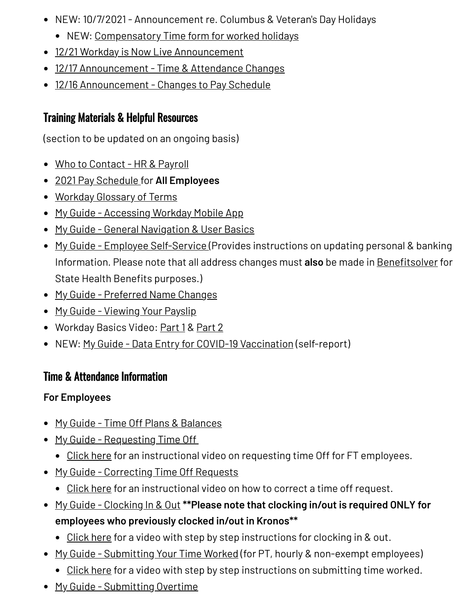- NEW: 10/7/2021 Announcement re. Columbus & Veteran's Day Holidays
	- NEW: [Compensatory](https://www.kean.edu/media/comp-time-form-open-holidays) Time form for worked holidays
- 12/21 Workday is Now Live [Announcement](https://www.kean.edu/media/workday-live-announcement)
- 12/17 [Announcement](https://www.kean.edu/media/wd-time-attendance-announcement) Time & Attendance Changes
- 12/16 [Announcement](https://www.kean.edu/media/wd-pay-schedule-change-announcement) Changes to Pay Schedule

# Training Materials & Helpful Resources

(section to be updated on an ongoing basis)

- Who to [Contact](https://www.kean.edu/media/wd-who-contact) HR & Payroll
- 2021 Pay [Schedule](https://www.kean.edu/media/2021-pp-schedule) for **All Employees**
- [Workday](https://www.kean.edu/media/wd-glossary) Glossary of Terms
- My Guide [Accessing](https://www.kean.edu/media/wd-mobile-app) Workday Mobile App
- My Guide General [Navigation](https://www.kean.edu/media/general-navigation-user-basics-final) & User Basics
- My Guide Employee [Self-Service](https://www.kean.edu/media/wd-self-service) (Provides instructions on updating personal & banking Information. Please note that all address changes must **also** be made in [Benefitsolver](https://my.state.nj.us/openam/UI/Login) for State Health Benefits purposes.)
- My Guide [Preferred](https://www.kean.edu/media/wd-preferred-name-changes) Name Changes
- My Guide [Viewing](https://www.kean.edu/media/wd-viewing-your-payslip) Your Payslip
- Workday Basics Video: [Part](https://share.vidyard.com/watch/D6WybkiL8brrybk7bP5gJE?) 1 & Part 2
- NEW: My Guide Data Entry for COVID-19 [Vaccination](https://www.kean.edu/media/wd-data-entry-covid-19-vaccination) (self-report)

# Time & Attendance Information

# **For Employees**

- My Guide Time Off Plans & [Balances](https://www.kean.edu/media/wd-viewing-time-plans-balances)
- My Guide [Requesting](https://www.kean.edu/media/wd-requesting-time) Time Off
	- [Click](https://share.vidyard.com/watch/q3gZX3NBp4i5irPFFQnTqe?) here for an instructional video on requesting time Off for FT employees.
- My Guide [Correcting](https://www.kean.edu/media/wd-correcting-time-request) Time Off Requests
	- [Click](https://share.vidyard.com/watch/19HafP8GdtZBf8ftWC2Nv9?) here for an instructional video on how to correct a time off request.
- My Guide [Clocking](https://www.kean.edu/media/wd-clocking-out) In & Out **\*\*Please note that clocking in/out is required ONLY for employees who previously clocked in/out in Kronos\*\***
	- [Click](https://share.vidyard.com/watch/gSzv1wzQWWVouh3JCGNsog?autoplay=1&vyetoken=2c8e05c4-0d9b-4543-aa28-11815fa1d5aa) here for a video with step by step instructions for clocking in & out.
- My Guide [Submitting](https://www.kean.edu/media/wd-submitting-your-time) Your Time Worked (for PT, hourly & non-exempt employees)
	- [Click](https://share.vidyard.com/watch/ftLdtXoBkqBJVFZrx3anPz?autoplay=1&vyetoken=2c8e05c4-0d9b-4543-aa28-11815fa1d5aa) here for a video with step by step instructions on submitting time worked.
- My Guide [Submitting](https://www.kean.edu/media/wd-submitting-overtime) Overtime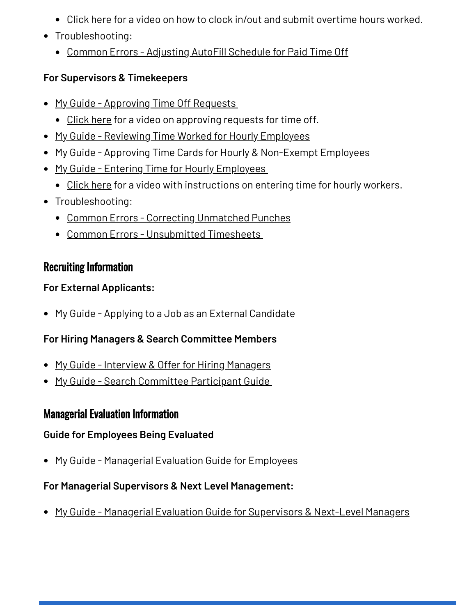- [Click](https://share.vidyard.com/watch/4h1YeGcunKSqtzGJrskEBq?autoplay=1&vyetoken=2c8e05c4-0d9b-4543-aa28-11815fa1d5aa) here for a video on how to clock in/out and submit overtime hours worked.
- Troubleshooting:
	- Common Errors [Adjusting](https://www.kean.edu/media/common-errors-schedule-adjustments-pto) AutoFill Schedule for Paid Time Off

# **For Supervisors & Timekeepers**

- My Guide [Approving](https://www.kean.edu/media/wd-approving-time) Time Off Requests
	- [Click](https://share.vidyard.com/watch/w3FGCBSZx5Ab87WH2k1Cm2?) here for a video on approving requests for time off.
- My Guide Reviewing Time Worked for Hourly [Employees](https://www.kean.edu/media/reviewing-time-worked-hourly-employees)
- My Guide Approving Time Cards for Hourly & [Non-Exempt](https://www.kean.edu/media/wd-approving-time-cards) Employees
- My Guide Entering Time for Hourly [Employees](https://www.kean.edu/media/wd-entering-time-hourly)
	- [Click](https://share.vidyard.com/watch/FW8HNUtmytjkJYhQziWCc9?) here for a video with instructions on entering time for hourly workers.
- Troubleshooting:
	- Common Errors Correcting [Unmatched](https://www.kean.edu/media/common-errors-unmatched-punches) Punches
	- Common Errors [Unsubmitted](https://www.kean.edu/media/common-errors-unsubmitted-timesheets) Timesheets

# Recruiting Information

## **For External Applicants:**

• My Guide - Applying to a Job as an External [Candidate](https://www.kean.edu/media/wd-applying-job-external-candidate)

# **For Hiring Managers & Search Committee Members**

- My Guide Interview & Offer for Hiring [Managers](https://www.kean.edu/media/wd-hiring-managers-interview-and-offer)
- My Guide Search [Committee](https://www.kean.edu/media/wd-search-committe-participant-guide) Participant Guide

# Managerial Evaluation Information

### **Guide for Employees Being Evaluated**

• My Guide - [Managerial](https://www.kean.edu/media/2020-2021-managerial-evaluation-guide-employees) Evaluation Guide for Employees

# **For Managerial Supervisors & Next Level Management:**

• My Guide - Managerial Evaluation Guide for [Supervisors](https://www.kean.edu/media/2020-2021-managerial-evaluation-guide-supervisors-next-level-managers) & Next-Level Managers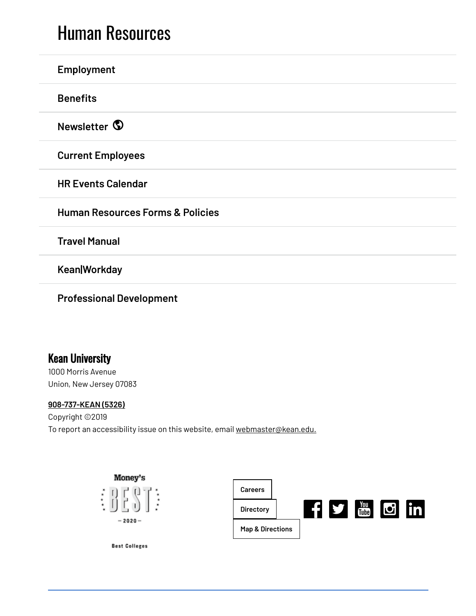# Human [Resources](https://www.kean.edu/offices/human-resources)

| Employment                                  |
|---------------------------------------------|
| <b>Benefits</b>                             |
| Newsletter <sup>1</sup>                     |
| <b>Current Employees</b>                    |
| <b>HR Events Calendar</b>                   |
| <b>Human Resources Forms &amp; Policies</b> |
| <b>Travel Manual</b>                        |
| <b>Kean Workday</b>                         |
|                                             |

**Professional [Development](https://www.kean.edu/offices/human-resources/professional-development-and-training-resources)**

# Kean University

1000 Morris Avenue Union, New Jersey 07083

#### **[908-737-KEAN](tel:908-737-5326) (5326)**

Copyright ©2019 To report an accessibility issue on this website, email [webmaster@kean.edu.](mailto:webmaster@kean.edu)



**Best Colleges**